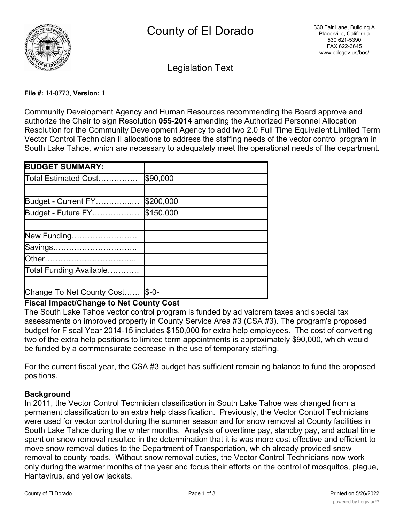

Legislation Text

#### **File #:** 14-0773, **Version:** 1

Community Development Agency and Human Resources recommending the Board approve and authorize the Chair to sign Resolution **055-2014** amending the Authorized Personnel Allocation Resolution for the Community Development Agency to add two 2.0 Full Time Equivalent Limited Term Vector Control Technician II allocations to address the staffing needs of the vector control program in South Lake Tahoe, which are necessary to adequately meet the operational needs of the department.

| <b>BUDGET SUMMARY:</b>    |            |
|---------------------------|------------|
| Total Estimated Cost      | \$90,000   |
|                           |            |
| Budget - Current FY       | \$200,000  |
| Budget - Future FY        | \$150,000  |
|                           |            |
| New Funding               |            |
| Savings                   |            |
|                           |            |
| Total Funding Available   |            |
|                           |            |
| Change To Net County Cost | $ S - O -$ |

# **Fiscal Impact/Change to Net County Cost**

The South Lake Tahoe vector control program is funded by ad valorem taxes and special tax assessments on improved property in County Service Area #3 (CSA #3). The program's proposed budget for Fiscal Year 2014-15 includes \$150,000 for extra help employees. The cost of converting two of the extra help positions to limited term appointments is approximately \$90,000, which would be funded by a commensurate decrease in the use of temporary staffing.

For the current fiscal year, the CSA #3 budget has sufficient remaining balance to fund the proposed positions.

# **Background**

In 2011, the Vector Control Technician classification in South Lake Tahoe was changed from a permanent classification to an extra help classification. Previously, the Vector Control Technicians were used for vector control during the summer season and for snow removal at County facilities in South Lake Tahoe during the winter months. Analysis of overtime pay, standby pay, and actual time spent on snow removal resulted in the determination that it is was more cost effective and efficient to move snow removal duties to the Department of Transportation, which already provided snow removal to county roads. Without snow removal duties, the Vector Control Technicians now work only during the warmer months of the year and focus their efforts on the control of mosquitos, plague, Hantavirus, and yellow jackets.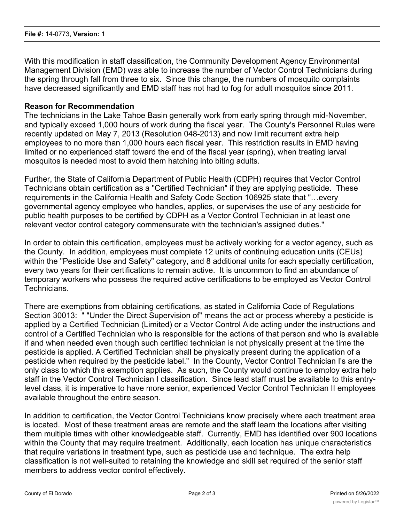With this modification in staff classification, the Community Development Agency Environmental Management Division (EMD) was able to increase the number of Vector Control Technicians during the spring through fall from three to six. Since this change, the numbers of mosquito complaints have decreased significantly and EMD staff has not had to fog for adult mosquitos since 2011.

#### **Reason for Recommendation**

The technicians in the Lake Tahoe Basin generally work from early spring through mid-November, and typically exceed 1,000 hours of work during the fiscal year. The County's Personnel Rules were recently updated on May 7, 2013 (Resolution 048-2013) and now limit recurrent extra help employees to no more than 1,000 hours each fiscal year. This restriction results in EMD having limited or no experienced staff toward the end of the fiscal year (spring), when treating larval mosquitos is needed most to avoid them hatching into biting adults.

Further, the State of California Department of Public Health (CDPH) requires that Vector Control Technicians obtain certification as a "Certified Technician" if they are applying pesticide. These requirements in the California Health and Safety Code Section 106925 state that "…every governmental agency employee who handles, applies, or supervises the use of any pesticide for public health purposes to be certified by CDPH as a Vector Control Technician in at least one relevant vector control category commensurate with the technician's assigned duties."

In order to obtain this certification, employees must be actively working for a vector agency, such as the County. In addition, employees must complete 12 units of continuing education units (CEUs) within the "Pesticide Use and Safety" category, and 8 additional units for each specialty certification, every two years for their certifications to remain active. It is uncommon to find an abundance of temporary workers who possess the required active certifications to be employed as Vector Control Technicians.

There are exemptions from obtaining certifications, as stated in California Code of Regulations Section 30013: " "Under the Direct Supervision of" means the act or process whereby a pesticide is applied by a Certified Technician (Limited) or a Vector Control Aide acting under the instructions and control of a Certified Technician who is responsible for the actions of that person and who is available if and when needed even though such certified technician is not physically present at the time the pesticide is applied. A Certified Technician shall be physically present during the application of a pesticide when required by the pesticide label." In the County, Vector Control Technician I's are the only class to which this exemption applies. As such, the County would continue to employ extra help staff in the Vector Control Technician I classification. Since lead staff must be available to this entrylevel class, it is imperative to have more senior, experienced Vector Control Technician II employees available throughout the entire season.

In addition to certification, the Vector Control Technicians know precisely where each treatment area is located. Most of these treatment areas are remote and the staff learn the locations after visiting them multiple times with other knowledgeable staff. Currently, EMD has identified over 900 locations within the County that may require treatment. Additionally, each location has unique characteristics that require variations in treatment type, such as pesticide use and technique. The extra help classification is not well-suited to retaining the knowledge and skill set required of the senior staff members to address vector control effectively.